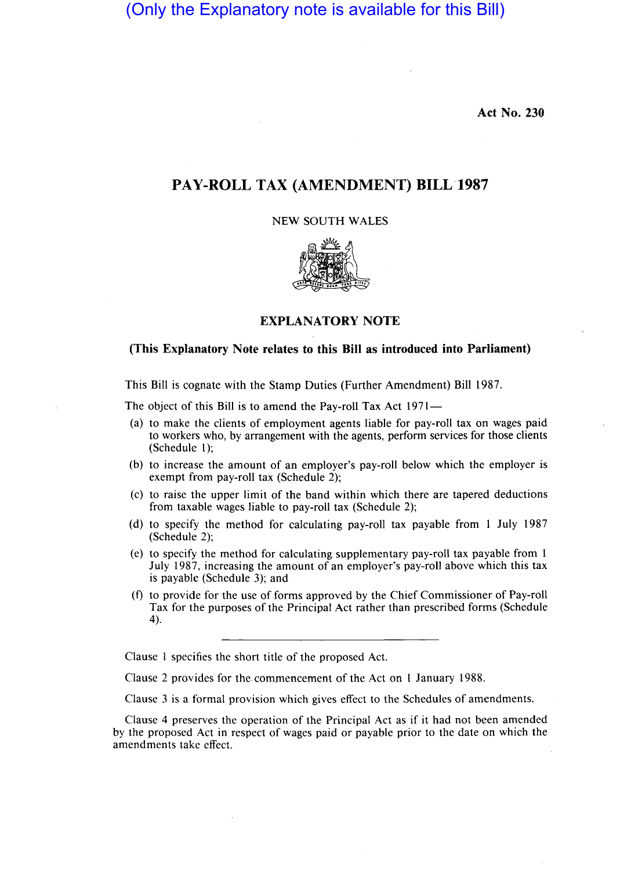(Only the Explanatory note is available for this Bill)

**Act No. 230** 

# **PAY-ROLL TAX (AMENDMENT)** BILL 1987

### NEW SOUTH WALES



# **EXPLANATORY NOTE**

## **(This Explanatory Note relates to this Bill as introduced into Parliament)**

This Bill is cognate with the Stamp Duties (Further Amendment) Bill 1987.

The object of this Bill is to amend the Pay-roll Tax Act 1971-

- (a) to make the clients of employment agents liable for pay-roll tax on wages paid to workers who, by arrangement with the agents, perform services for those clients (Schedule 1);
- (b) to increase the amount of an employer's pay-roll below which the employer is exempt from pay-roll tax (Schedule 2);
- (c) to raise the upper limit of the band within which there are tapered deductions from taxable wages liable to pay-roll tax (Schedule 2);
- (d) to specify the method for calculating pay-roll tax payable from 1 July 1987 (Schedule 2);
- (e) to specify the method for calculating supplementary pay-roll tax payable from 1 July 1987, increasing the amount of an employer's pay-roll above which this tax is payable (Schedule 3); and
- (f) to provide for the use of forms approved by the Chief Commissioner of Pay-roll Tax for the purposes of the Principal Act rather than prescribed forms (Schedule 4).

Clause 1 specifies the short title of the proposed Act.

Clause 2 provides for the commencement of the Act on 1 January 1988.

Clause 3 is a formal provision which gives effect to the Schedules of amendments.

Clause 4 preserves the operation of the Principal Act as if it had not been amended by the proposed Act in respect of wages paid or payable prior to the date on which the amendments take effect.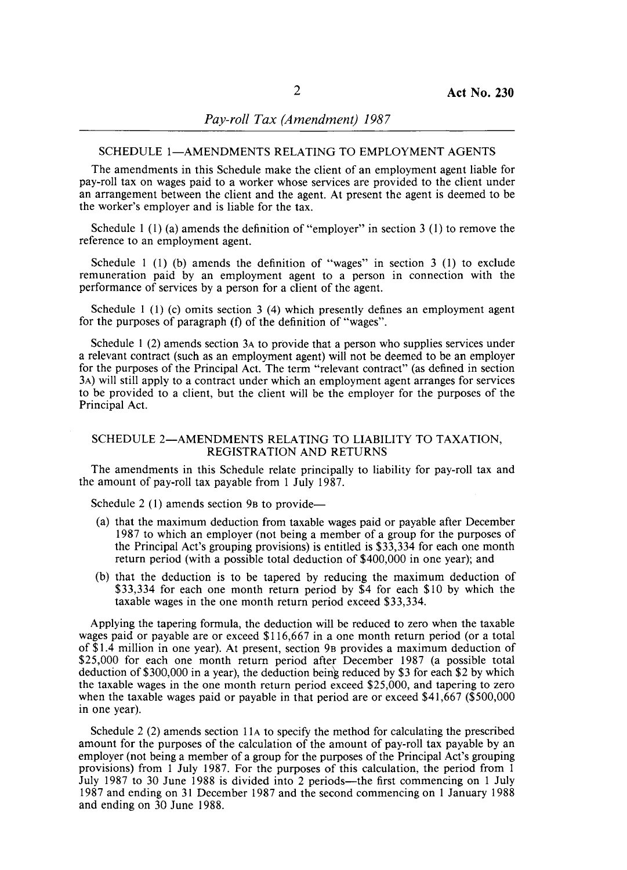#### SCHEDULE 1-AMENDMENTS RELATING TO EMPLOYMENT AGENTS

The amendments in this Schedule make the client of an employment agent liable for pay-roll tax on wages paid to a worker whose services are provided to the client under an arrangement between the client and the agent. At present the agent is deemed to be the worker's employer and is liable for the tax.

Schedule 1 (1) (a) amends the definition of "employer" in section 3 (1) to remove the reference to an employment agent.

Schedule 1 (1) (b) amends the definition of "wages" in section 3 (1) to exclude remuneration paid by an employment agent to a person in connection with the performance of services by a person for a client of the agent.

Schedule 1 (1) (c) omits section 3 (4) which presently defines an employment agent for the purposes of paragraph (f) of the definition of "wages".

Schedule 1 (2) amends section 3A to provide that a person who supplies services under a relevant contract (such as an employment agent) will not be deemed to be an employer for the purposes of the Principal Act. The term "relevant contract" (as defined in section 3A) will still apply to a contract under which an employment agent arranges for services to be provided to a client, but the client will be the employer for the purposes of the Principal Act.

### SCHEDULE 2-AMENDMENTS RELATING TO LIABILITY TO TAXATION, REGISTRATION AND RETURNS

The amendments in this Schedule relate principally to liability for pay-roll tax and the amount of pay-roll tax payable from 1 July 1987.

Schedule 2 (1) amends section 9 $B$  to provide—

- (a) that the maximum deduction from taxable wages paid or payable after December 1987 to which an employer (not being a member of a group for the purposes of the Principal Act's grouping provisions) is entitled is \$33,334 for each one month return period (with a possible total deduction of \$400,000 in one year); and
- (b) that the deduction is to be tapered by reducing the maximum deduction of \$33,334 for each one month return period by \$4 for each \$10 by which the taxable wages in the one month return period exceed \$33,334.

Applying the tapering formula, the deduction will be reduced to zero when the taxable wages paid or payable are or exceed \$116,667 in a one month return period (or a total of \$1.4 million in one year). At present, section 9B provides a maximum deduction of \$25,000 for each one month return period after December 1987 (a possible total deduction of \$300,000 in a year), the deduction being reduced by \$3 for each \$2 by which the taxable wages in the one month return period exceed \$25,000, and tapering to zero when the taxable wages paid or payable in that period are or exceed \$41,667 (\$500,000 in one year).

Schedule 2 (2) amends section IIA to specify the method for calculating the prescribed amount for the purposes of the calculation of the amount of pay-roll tax payable by an employer (not being a member of a group for the purposes of the Principal Act's grouping provisions) from 1 July 1987. For the purposes of this calculation, the period from 1 July 1987 to 30 June 1988 is divided into 2 periods—the first commencing on 1 July 1987 and ending on 31 December 1987 and the second commencing on 1 January 1988 and ending on 30 June 1988.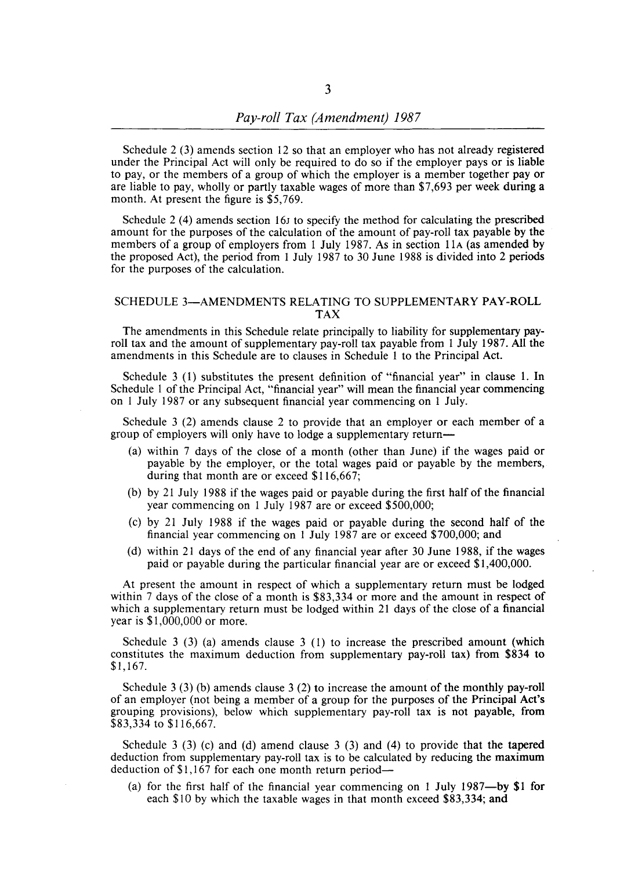Schedule 2 (3) amends section 12 so that an employer who has not already registered under the Principal Act will only be required to do so if the employer pays or is liable to pay, or the members of a group of which the employer is a member together payor are liable to pay, wholly or partly taxable wages of more than \$7,693 per week during a month. At present the figure is \$5,769.

Schedule 2 (4) amends section 16J to specify the method for calculating the prescribed amount for the purposes of the calculation of the amount of pay-roll tax payable by the members of a group of employers from 1 July 1987. As in section 11A (as amended by the proposed Act), the period from 1 July 1987 to 30 June 1988 is divided into 2 periods for the purposes of the calculation.

### SCHEDULE 3-AMENDMENTS RELATING TO SUPPLEMENTARY PAY-ROLL TAX

The amendments in this Schedule relate principally to liability for supplementary payroll tax and the amount of supplementary pay-roll tax payable from 1 July 1987. All the amendments in this Schedule are to clauses in Schedule 1 to the Principal Act.

Schedule 3 (1) substitutes the present definition of "financial year" in clause 1. In Schedule 1 of the Principal Act, "financial year" will mean the financial year commencing on 1 July 1987 or any subsequent financial year commencing on 1 July.

Schedule 3 (2) amends clause 2 to provide that an employer or each member of a group of employers will only have to lodge a supplementary return-

- (a) within 7 days of the close of a month (other than June) if the wages paid or payable by the employer, or the total wages paid or payable by the members, during that month are or exceed \$116,667;
- (b) by 21 July 1988 if the wages paid or payable during the first half of the financial year commencing on 1 July 1987 are or exceed \$500,000;
- (c) by 21 July 1988 if the wages paid or payable during the second half of the financial year commencing on 1 July 1987 are or exceed \$700,000; and
- (d) within 21 days of the end of any financial year after 30 June 1988, if the wages paid or payable during the particular financial year are or exceed \$1,400,000.

At present the amount in respect of which a supplementary return must be lodged within 7 days of the close of a month is \$83,334 or more and the amount in respect of which a supplementary return must be lodged within 21 days of the close of a financial year is \$1,000,000 or more.

Schedule 3  $(3)$  (a) amends clause 3  $(1)$  to increase the prescribed amount (which constitutes the maximum deduction from supplementary pay-roll tax) from \$834 to \$1,167.

Schedule 3 (3) (b) amends clause 3 (2) to increase the amount of the monthly pay-roll of an employer (not being a member of a group for the purposes of the Principal Act's grouping provisions), below which supplementary pay-roll tax is not payable, from \$83,334 to \$116,667.

Schedule 3 (3) (c) and (d) amend clause 3 (3) and (4) to provide that the tapered deduction from supplementary pay-roll tax is to be calculated by reducing the maximum deduction of \$1,167 for each one month return period-

(a) for the first half of the financial year commencing on 1 July 1987-by **\$1** for each \$10 by which the taxable wages in that month exceed \$83,334; and